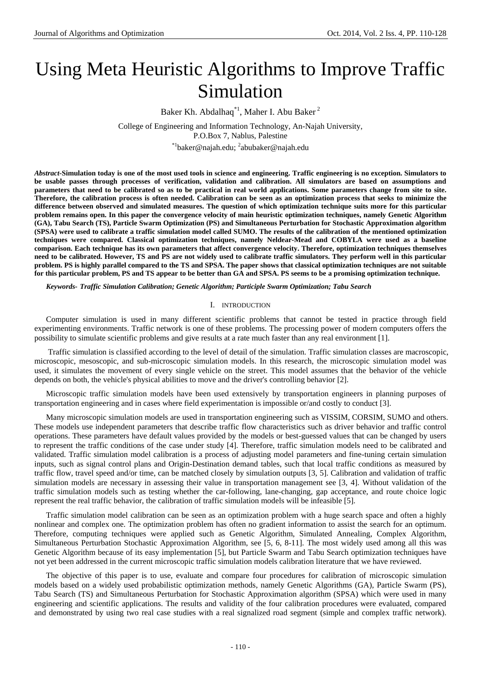# Using Meta Heuristic Algorithms to Improve Traffic Simulation

Baker Kh. Abdalhaq<sup>\*1</sup>, Maher I. Abu Baker<sup>2</sup>

College of Engineering and Information Technology, An-Najah University, P.O.Box 7, Nablus, Palestine \*<sup>1</sup>baker@najah.edu; <sup>2</sup>abubaker@najah.edu

*Abstract-***Simulation today is one of the most used tools in science and engineering. Traffic engineering is no exception. Simulators to be usable passes through processes of verification, validation and calibration. All simulators are based on assumptions and parameters that need to be calibrated so as to be practical in real world applications. Some parameters change from site to site. Therefore, the calibration process is often needed. Calibration can be seen as an optimization process that seeks to minimize the difference between observed and simulated measures. The question of which optimization technique suits more for this particular problem remains open. In this paper the convergence velocity of main heuristic optimization techniques, namely Genetic Algorithm (GA), Tabu Search (TS), Particle Swarm Optimization (PS) and Simultaneous Perturbation for Stochastic Approximation algorithm (SPSA) were used to calibrate a traffic simulation model called SUMO. The results of the calibration of the mentioned optimization techniques were compared. Classical optimization techniques, namely Neldear-Mead and COBYLA were used as a baseline comparison. Each technique has its own parameters that affect convergence velocity. Therefore, optimization techniques themselves need to be calibrated. However, TS and PS are not widely used to calibrate traffic simulators. They perform well in this particular problem. PS is highly parallel compared to the TS and SPSA. The paper shows that classical optimization techniques are not suitable for this particular problem, PS and TS appear to be better than GA and SPSA. PS seems to be a promising optimization technique.**

*Keywords- Traffic Simulation Calibration; Genetic Algorithm; Participle Swarm Optimization; Tabu Search*

## I. INTRODUCTION

Computer simulation is used in many different scientific problems that cannot be tested in practice through field experimenting environments. Traffic network is one of these problems. The processing power of modern computers offers the possibility to simulate scientific problems and give results at a rate much faster than any real environment [1].

Traffic simulation is classified according to the level of detail of the simulation. Traffic simulation classes are macroscopic, microscopic, mesoscopic, and sub-microscopic simulation models. In this research, the microscopic simulation model was used, it simulates the movement of every single vehicle on the street. This model assumes that the behavior of the vehicle depends on both, the vehicle's physical abilities to move and the driver's controlling behavior [2].

Microscopic traffic simulation models have been used extensively by transportation engineers in planning purposes of transportation engineering and in cases where field experimentation is impossible or/and costly to conduct [3].

Many microscopic simulation models are used in transportation engineering such as VISSIM, CORSIM, SUMO and others. These models use independent parameters that describe traffic flow characteristics such as driver behavior and traffic control operations. These parameters have default values provided by the models or best-guessed values that can be changed by users to represent the traffic conditions of the case under study [4]. Therefore, traffic simulation models need to be calibrated and validated. Traffic simulation model calibration is a process of adjusting model parameters and fine-tuning certain simulation inputs, such as signal control plans and Origin-Destination demand tables, such that local traffic conditions as measured by traffic flow, travel speed and/or time, can be matched closely by simulation outputs [3, 5]. Calibration and validation of traffic simulation models are necessary in assessing their value in transportation management see [3, 4]. Without validation of the traffic simulation models such as testing whether the car-following, lane-changing, gap acceptance, and route choice logic represent the real traffic behavior, the calibration of traffic simulation models will be infeasible [5].

Traffic simulation model calibration can be seen as an optimization problem with a huge search space and often a highly nonlinear and complex one. The optimization problem has often no gradient information to assist the search for an optimum. Therefore, computing techniques were applied such as Genetic Algorithm, Simulated Annealing, Complex Algorithm, Simultaneous Perturbation Stochastic Approximation Algorithm, see [5, 6, 8-11]. The most widely used among all this was Genetic Algorithm because of its easy implementation [5], but Particle Swarm and Tabu Search optimization techniques have not yet been addressed in the current microscopic traffic simulation models calibration literature that we have reviewed.

The objective of this paper is to use, evaluate and compare four procedures for calibration of microscopic simulation models based on a widely used probabilistic optimization methods, namely Genetic Algorithms (GA), Particle Swarm (PS), Tabu Search (TS) and Simultaneous Perturbation for Stochastic Approximation algorithm (SPSA) which were used in many engineering and scientific applications. The results and validity of the four calibration procedures were evaluated, compared and demonstrated by using two real case studies with a real signalized road segment (simple and complex traffic network).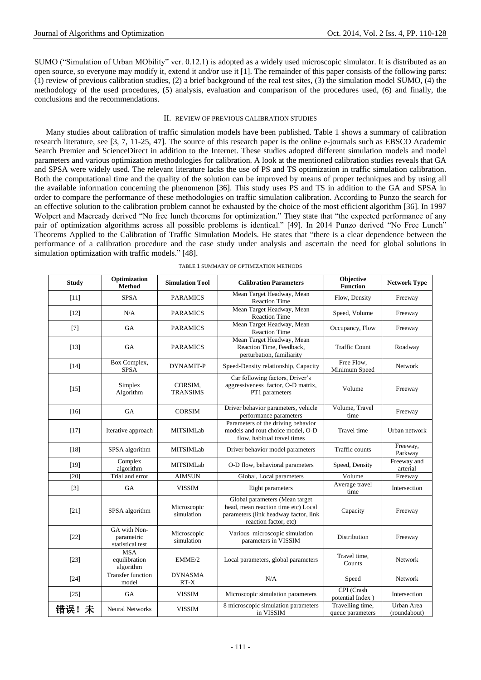SUMO ("Simulation of Urban MObility" ver. 0.12.1) is adopted as a widely used microscopic simulator. It is distributed as an open source, so everyone may modify it, extend it and/or use it [1]. The remainder of this paper consists of the following parts: (1) review of previous calibration studies, (2) a brief background of the real test sites, (3) the simulation model SUMO, (4) the methodology of the used procedures, (5) analysis, evaluation and comparison of the procedures used, (6) and finally, the conclusions and the recommendations.

# II. REVIEW OF PREVIOUS CALIBRATION STUDIES

Many studies about calibration of traffic simulation models have been published. Table 1 shows a summary of calibration research literature, see [3, 7, 11-25, 47]. The source of this research paper is the online e-journals such as EBSCO Academic Search Premier and ScienceDirect in addition to the Internet. These studies adopted different simulation models and model parameters and various optimization methodologies for calibration. A look at the mentioned calibration studies reveals that GA and SPSA were widely used. The relevant literature lacks the use of PS and TS optimization in traffic simulation calibration. Both the computational time and the quality of the solution can be improved by means of proper techniques and by using all the available information concerning the phenomenon [36]. This study uses PS and TS in addition to the GA and SPSA in order to compare the performance of these methodologies on traffic simulation calibration. According to Punzo the search for an effective solution to the calibration problem cannot be exhausted by the choice of the most efficient algorithm [36]. In 1997 Wolpert and Macready derived "No free lunch theorems for optimization." They state that "the expected performance of any pair of optimization algorithms across all possible problems is identical." [49]. In 2014 Punzo derived "No Free Lunch" Theorems Applied to the Calibration of Traffic Simulation Models. He states that "there is a clear dependence between the performance of a calibration procedure and the case study under analysis and ascertain the need for global solutions in simulation optimization with traffic models." [48].

| <b>Study</b> | Optimization<br><b>Method</b>                  | <b>Simulation Tool</b>     | <b>Calibration Parameters</b>                                                                                                           | Objective<br><b>Function</b>         | <b>Network Type</b>        |
|--------------|------------------------------------------------|----------------------------|-----------------------------------------------------------------------------------------------------------------------------------------|--------------------------------------|----------------------------|
| $[11]$       | <b>SPSA</b>                                    | <b>PARAMICS</b>            | Mean Target Headway, Mean<br><b>Reaction Time</b>                                                                                       | Flow, Density                        | Freeway                    |
| $[12]$       | N/A                                            | <b>PARAMICS</b>            | Mean Target Headway, Mean<br><b>Reaction Time</b>                                                                                       | Speed, Volume                        | Freeway                    |
| $[7]$        | <b>GA</b>                                      | <b>PARAMICS</b>            | Mean Target Headway, Mean<br>Reaction Time                                                                                              | Occupancy, Flow                      | Freeway                    |
| $[13]$       | <b>GA</b>                                      | <b>PARAMICS</b>            | Mean Target Headway, Mean<br>Reaction Time, Feedback,<br>perturbation, familiarity                                                      | <b>Traffic Count</b>                 | Roadway                    |
| [14]         | Box Complex,<br><b>SPSA</b>                    | <b>DYNAMIT-P</b>           | Speed-Density relationship, Capacity                                                                                                    | Free Flow,<br>Minimum Speed          | Network                    |
| $[15]$       | Simplex<br>Algorithm                           | CORSIM,<br><b>TRANSIMS</b> | Car following factors, Driver's<br>aggressiveness factor, O-D matrix,<br>PT1 parameters                                                 | Volume                               | Freeway                    |
| $[16]$       | GA                                             | <b>CORSIM</b>              | Driver behavior parameters, vehicle<br>performance parameters                                                                           | Volume, Travel<br>time               | Freeway                    |
| $[17]$       | Iterative approach                             | <b>MITSIMLab</b>           | Parameters of the driving behavior<br>models and rout choice model, O-D<br>flow, habitual travel times                                  | Travel time                          | Urban network              |
| $[18]$       | SPSA algorithm                                 | <b>MITSIMLab</b>           | Driver behavior model parameters                                                                                                        | Traffic counts                       | Freeway,<br>Parkway        |
| $[19]$       | Complex<br>algorithm                           | <b>MITSIMLab</b>           | O-D flow, behavioral parameters                                                                                                         | Speed, Density                       | Freeway and<br>arterial    |
| $[20]$       | Trial and error                                | <b>AIMSUN</b>              | Global, Local parameters                                                                                                                | Volume                               | Freeway                    |
| $[3]$        | GA                                             | <b>VISSIM</b>              | Eight parameters                                                                                                                        | Average travel<br>time               | Intersection               |
| $[21]$       | SPSA algorithm                                 | Microscopic<br>simulation  | Global parameters (Mean target<br>head, mean reaction time etc) Local<br>parameters (link headway factor, link<br>reaction factor, etc) | Capacity                             | Freeway                    |
| $[22]$       | GA with Non-<br>parametric<br>statistical test | Microscopic<br>simulation  | Various microscopic simulation<br>parameters in VISSIM                                                                                  | Distribution                         | Freeway                    |
| $[23]$       | <b>MSA</b><br>equilibration<br>algorithm       | EMME/2                     | Local parameters, global parameters                                                                                                     | Travel time,<br>Counts               | Network                    |
| $[24]$       | <b>Transfer function</b><br>model              | <b>DYNASMA</b><br>$RT-X$   | N/A                                                                                                                                     | Speed                                | <b>Network</b>             |
| $[25]$       | GA                                             | <b>VISSIM</b>              | Microscopic simulation parameters                                                                                                       | CPI (Crash<br>potential Index)       | Intersection               |
| 错误! 未        | <b>Neural Networks</b>                         | <b>VISSIM</b>              | 8 microscopic simulation parameters<br>in VISSIM                                                                                        | Travelling time,<br>queue parameters | Urban Area<br>(roundabout) |

TABLE 1 SUMMARY OF OPTIMIZATION METHODS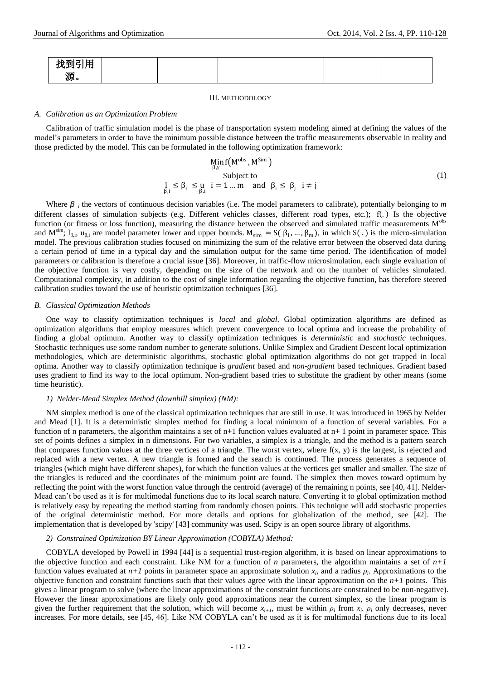| $\overline{ }$<br>–<br>. .<br> |  |  |  |
|--------------------------------|--|--|--|
| 源。                             |  |  |  |

#### III. METHODOLOGY

#### *A. Calibration as an Optimization Problem*

Calibration of traffic simulation model is the phase of transportation system modeling aimed at defining the values of the model"s parameters in order to have the minimum possible distance between the traffic measurements observable in reality and those predicted by the model. This can be formulated in the following optimization framework:

$$
\begin{array}{ccc}\n\text{Min } f\left(M^{\text{obs}}, M^{\text{Sim}}\right) & \\
\text{Subject to} & \\
\downarrow_{\beta,i} \le \beta_i \le \mu_i \quad i = 1 \dots m \quad \text{and} \quad \beta_i \le \beta_j \quad i \ne j\n\end{array} \tag{1}
$$

Where *β <sup>i</sup>* the vectors of continuous decision variables (i.e. The model parameters to calibrate), potentially belonging to *m* different classes of simulation subjects (e.g. Different vehicles classes, different road types, etc.); f(.) Is the objective function (or fitness or loss function), measuring the distance between the observed and simulated traffic measurements  $M<sup>obs</sup>$ and  $M^{sim}$ ;  $l_{\beta,i}$ ,  $u_{\beta,i}$  are model parameter lower and upper bounds.  $M_{sim} = S(\beta_1, ..., \beta_m)$ , in which  $S(.)$  is the micro-simulation model. The previous calibration studies focused on minimizing the sum of the relative error between the observed data during a certain period of time in a typical day and the simulation output for the same time period. The identification of model parameters or calibration is therefore a crucial issue [36]. Moreover, in traffic-flow microsimulation, each single evaluation of the objective function is very costly, depending on the size of the network and on the number of vehicles simulated. Computational complexity, in addition to the cost of single information regarding the objective function, has therefore steered calibration studies toward the use of heuristic optimization techniques [36].

## *B. Classical Optimization Methods*

One way to classify optimization techniques is *local* and *global*. Global optimization algorithms are defined as optimization algorithms that employ measures which prevent convergence to local optima and increase the probability of finding a global optimum. Another way to classify optimization techniques is *deterministic* and *stochastic* techniques. Stochastic techniques use some random number to generate solutions. Unlike Simplex and Gradient Descent local optimization methodologies, which are deterministic algorithms, stochastic global optimization algorithms do not get trapped in local optima. Another way to classify optimization technique is *gradient* based and *non-gradient* based techniques. Gradient based uses gradient to find its way to the local optimum. Non-gradient based tries to substitute the gradient by other means (some time heuristic).

## *1) Nelder-Mead Simplex Method (downhill simplex) (NM):*

NM simplex method is one of the classical optimization techniques that are still in use. It was introduced in 1965 by Nelder and Mead [1]. It is a deterministic simplex method for finding a local minimum of a function of several variables. For a function of n parameters, the algorithm maintains a set of  $n+1$  function values evaluated at  $n+1$  point in parameter space. This set of points defines a simplex in n dimensions. For two variables, a simplex is a triangle, and the method is a pattern search that compares function values at the three vertices of a triangle. The worst vertex, where  $f(x, y)$  is the largest, is rejected and replaced with a new vertex. A new triangle is formed and the search is continued. The process generates a sequence of triangles (which might have different shapes), for which the function values at the vertices get smaller and smaller. The size of the triangles is reduced and the coordinates of the minimum point are found. The simplex then moves toward optimum by reflecting the point with the worst function value through the centroid (average) of the remaining n points, see [40, 41]. Nelder-Mead can"t be used as it is for multimodal functions due to its local search nature. Converting it to global optimization method is relatively easy by repeating the method starting from randomly chosen points. This technique will add stochastic properties of the original deterministic method. For more details and options for globalization of the method, see [42]. The implementation that is developed by 'scipy' [43] community was used. Scipy is an open source library of algorithms.

## *2) Constrained Optimization BY Linear Approximation (COBYLA) Method:*

COBYLA developed by Powell in 1994 [44] is a sequential trust-region algorithm, it is based on linear approximations to the objective function and each constraint. Like NM for a function of *n* parameters, the algorithm maintains a set of  $n+1$ function values evaluated at  $n+1$  points in parameter space an approximate solution  $x_i$ , and a radius  $\rho_i$ . Approximations to the objective function and constraint functions such that their values agree with the linear approximation on the  $n+1$  points. This gives a linear program to solve (where the linear approximations of the constraint functions are constrained to be non-negative). However the linear approximations are likely only good approximations near the current simplex, so the linear program is given the further requirement that the solution, which will become  $x_{i+1}$ , must be within  $\rho_i$  from  $x_i$ .  $\rho_i$  only decreases, never increases. For more details, see [45, 46]. Like NM COBYLA can"t be used as it is for multimodal functions due to its local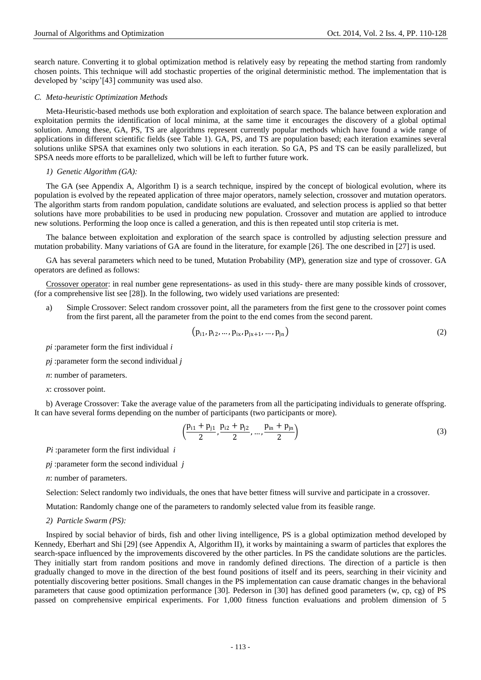search nature. Converting it to global optimization method is relatively easy by repeating the method starting from randomly chosen points. This technique will add stochastic properties of the original deterministic method. The implementation that is developed by "scipy"[43] community was used also.

# *C. Meta-heuristic Optimization Methods*

Meta-Heuristic-based methods use both exploration and exploitation of search space. The balance between exploration and exploitation permits the identification of local minima, at the same time it encourages the discovery of a global optimal solution. Among these, GA, PS, TS are algorithms represent currently popular methods which have found a wide range of applications in different scientific fields (see Table 1). GA, PS, and TS are population based; each iteration examines several solutions unlike SPSA that examines only two solutions in each iteration. So GA, PS and TS can be easily parallelized, but SPSA needs more efforts to be parallelized, which will be left to further future work.

## *1) Genetic Algorithm (GA):*

The GA (see Appendix A, Algorithm I) is a search technique, inspired by the concept of biological evolution, where its population is evolved by the repeated application of three major operators, namely selection, crossover and mutation operators. The algorithm starts from random population, candidate solutions are evaluated, and selection process is applied so that better solutions have more probabilities to be used in producing new population. Crossover and mutation are applied to introduce new solutions. Performing the loop once is called a generation, and this is then repeated until stop criteria is met.

The balance between exploitation and exploration of the search space is controlled by adjusting selection pressure and mutation probability. Many variations of GA are found in the literature, for example [26]. The one described in [27] is used.

GA has several parameters which need to be tuned, Mutation Probability (MP), generation size and type of crossover. GA operators are defined as follows:

Crossover operator: in real number gene representations- as used in this study- there are many possible kinds of crossover, (for a comprehensive list see [28]). In the following, two widely used variations are presented:

a) Simple Crossover: Select random crossover point, all the parameters from the first gene to the crossover point comes from the first parent, all the parameter from the point to the end comes from the second parent.

$$
(p_{i1}, p_{i2}, \dots, p_{ix}, p_{jx+1}, \dots, p_{jn})
$$
 (2)

*pi* :parameter form the first individual *i*

*pj* :parameter form the second individual *j*

*n*: number of parameters.

*x*: crossover point.

b) Average Crossover: Take the average value of the parameters from all the participating individuals to generate offspring. It can have several forms depending on the number of participants (two participants or more).

$$
\left(\frac{p_{i1} + p_{j1}}{2}, \frac{p_{i2} + p_{j2}}{2}, \dots, \frac{p_{in} + p_{jn}}{2}\right) \tag{3}
$$

*Pi* :parameter form the first individual *i*

*pj* :parameter form the second individual *j*

*n*: number of parameters.

Selection: Select randomly two individuals, the ones that have better fitness will survive and participate in a crossover.

Mutation: Randomly change one of the parameters to randomly selected value from its feasible range.

*2) Particle Swarm (PS):*

Inspired by social behavior of birds, fish and other living intelligence, PS is a global optimization method developed by Kennedy, Eberhart and Shi [29] (see Appendix A, Algorithm II), it works by maintaining a swarm of particles that explores the search-space influenced by the improvements discovered by the other particles. In PS the candidate solutions are the particles. They initially start from random positions and move in randomly defined directions. The direction of a particle is then gradually changed to move in the direction of the best found positions of itself and its peers, searching in their vicinity and potentially discovering better positions. Small changes in the PS implementation can cause dramatic changes in the behavioral parameters that cause good optimization performance [30]. Pederson in [30] has defined good parameters (w, cp, cg) of PS passed on comprehensive empirical experiments. For 1,000 fitness function evaluations and problem dimension of 5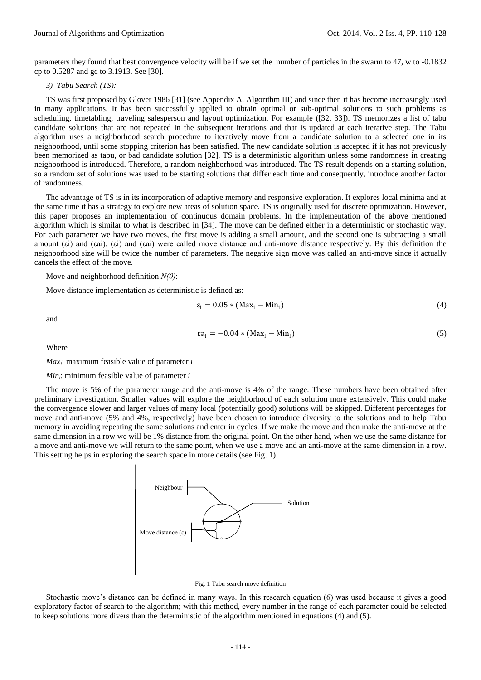parameters they found that best convergence velocity will be if we set the number of particles in the swarm to 47, w to -0.1832 cp to 0.5287 and gc to 3.1913. See [30].

## *3) Tabu Search (TS):*

TS was first proposed by Glover 1986 [31] (see Appendix A, Algorithm III) and since then it has become increasingly used in many applications. It has been successfully applied to obtain optimal or sub-optimal solutions to such problems as scheduling, timetabling, traveling salesperson and layout optimization. For example ([32, 33]). TS memorizes a list of tabu candidate solutions that are not repeated in the subsequent iterations and that is updated at each iterative step. The Tabu algorithm uses a neighborhood search procedure to iteratively move from a candidate solution to a selected one in its neighborhood, until some stopping criterion has been satisfied. The new candidate solution is accepted if it has not previously been memorized as tabu, or bad candidate solution [32]. TS is a deterministic algorithm unless some randomness in creating neighborhood is introduced. Therefore, a random neighborhood was introduced. The TS result depends on a starting solution, so a random set of solutions was used to be starting solutions that differ each time and consequently, introduce another factor of randomness.

The advantage of TS is in its incorporation of adaptive memory and responsive exploration. It explores local minima and at the same time it has a strategy to explore new areas of solution space. TS is originally used for discrete optimization. However, this paper proposes an implementation of continuous domain problems. In the implementation of the above mentioned algorithm which is similar to what is described in [34]. The move can be defined either in a deterministic or stochastic way. For each parameter we have two moves, the first move is adding a small amount, and the second one is subtracting a small amount (εi) and (εai). (εi) and (εai) were called move distance and anti-move distance respectively. By this definition the neighborhood size will be twice the number of parameters. The negative sign move was called an anti-move since it actually cancels the effect of the move.

Move and neighborhood definition *N(θ)*:

Move distance implementation as deterministic is defined as:

$$
\varepsilon_{i} = 0.05 * (Max_{i} - Min_{i}) \tag{4}
$$

and

$$
\epsilon a_i = -0.04 * (Max_i - Min_i) \tag{5}
$$

Where

*Max<sup>i</sup>* : maximum feasible value of parameter *i*

*Min<sup>i</sup>* : minimum feasible value of parameter *i*

The move is 5% of the parameter range and the anti-move is 4% of the range. These numbers have been obtained after preliminary investigation. Smaller values will explore the neighborhood of each solution more extensively. This could make the convergence slower and larger values of many local (potentially good) solutions will be skipped. Different percentages for move and anti-move (5% and 4%, respectively) have been chosen to introduce diversity to the solutions and to help Tabu memory in avoiding repeating the same solutions and enter in cycles. If we make the move and then make the anti-move at the same dimension in a row we will be 1% distance from the original point. On the other hand, when we use the same distance for a move and anti-move we will return to the same point, when we use a move and an anti-move at the same dimension in a row. This setting helps in exploring the search space in more details (see Fig. 1).



Fig. 1 Tabu search move definition

Stochastic move"s distance can be defined in many ways. In this research equation (6) was used because it gives a good exploratory factor of search to the algorithm; with this method, every number in the range of each parameter could be selected to keep solutions more divers than the deterministic of the algorithm mentioned in equations (4) and (5).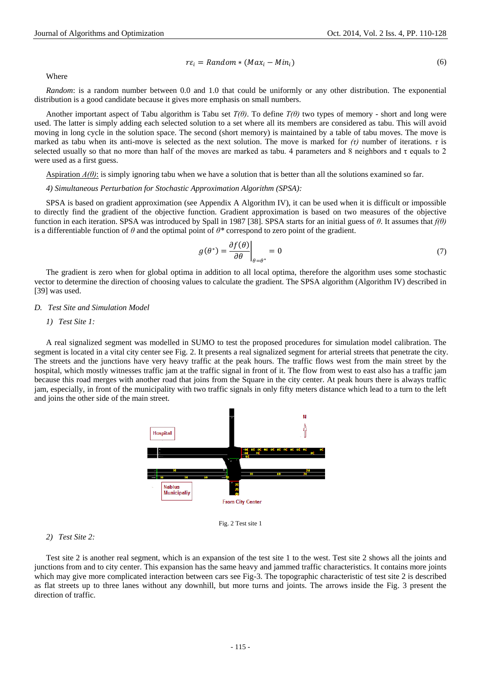$$
r\varepsilon_i = Random * (Max_i - Min_i)
$$
 (6)

Where

*Random*: is a random number between 0.0 and 1.0 that could be uniformly or any other distribution. The exponential distribution is a good candidate because it gives more emphasis on small numbers.

Another important aspect of Tabu algorithm is Tabu set *T(θ)*. To define *T(θ)* two types of memory - short and long were used. The latter is simply adding each selected solution to a set where all its members are considered as tabu. This will avoid moving in long cycle in the solution space. The second (short memory) is maintained by a table of tabu moves. The move is marked as tabu when its anti-move is selected as the next solution. The move is marked for *(τ)* number of iterations. *τ* is selected usually so that no more than half of the moves are marked as tabu. 4 parameters and 8 neighbors and  $\tau$  equals to 2 were used as a first guess.

Aspiration *A(θ)*: is simply ignoring tabu when we have a solution that is better than all the solutions examined so far.

*4) Simultaneous Perturbation for Stochastic Approximation Algorithm (SPSA):*

SPSA is based on gradient approximation (see Appendix A Algorithm IV), it can be used when it is difficult or impossible to directly find the gradient of the objective function. Gradient approximation is based on two measures of the objective function in each iteration. SPSA was introduced by Spall in 1987 [38]. SPSA starts for an initial guess of *θ*. It assumes that *f(θ)* is a differentiable function of *θ* and the optimal point of *θ\** correspond to zero point of the gradient.

$$
g(\theta^*) = \frac{\partial f(\theta)}{\partial \theta}\Big|_{\theta = \theta^*} = 0 \tag{7}
$$

The gradient is zero when for global optima in addition to all local optima, therefore the algorithm uses some stochastic vector to determine the direction of choosing values to calculate the gradient. The SPSA algorithm (Algorithm IV) described in [39] was used.

## *D. Test Site and Simulation Model*

*1) Test Site 1:*

A real signalized segment was modelled in SUMO to test the proposed procedures for simulation model calibration. The segment is located in a vital city center see Fig. 2. It presents a real signalized segment for arterial streets that penetrate the city. The streets and the junctions have very heavy traffic at the peak hours. The traffic flows west from the main street by the hospital, which mostly witnesses traffic jam at the traffic signal in front of it. The flow from west to east also has a traffic jam because this road merges with another road that joins from the Square in the city center. At peak hours there is always traffic jam, especially, in front of the municipality with two traffic signals in only fifty meters distance which lead to a turn to the left and joins the other side of the main street.



#### *2) Test Site 2:*

Test site 2 is another real segment, which is an expansion of the test site 1 to the west. Test site 2 shows all the joints and junctions from and to city center. This expansion has the same heavy and jammed traffic characteristics. It contains more joints which may give more complicated interaction between cars see Fig-3. The topographic characteristic of test site 2 is described as flat streets up to three lanes without any downhill, but more turns and joints. The arrows inside the Fig. 3 present the direction of traffic.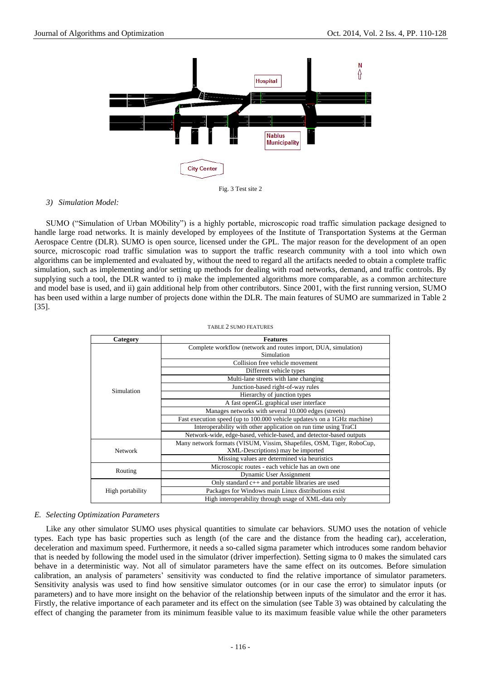



## *3) Simulation Model:*

SUMO ("Simulation of Urban MObility") is a highly portable, microscopic road traffic simulation package designed to handle large road networks. It is mainly developed by employees of the [Institute of Transportation Systems at the German](http://www.dlr.de/fs/en/desktopdefault.aspx)  [Aerospace Centre](http://www.dlr.de/fs/en/desktopdefault.aspx) (DLR). SUMO is open source, licensed under the [GPL.](http://www.gnu.org/licenses/gpl.html) The major reason for the development of an open source, microscopic road traffic simulation was to support the traffic research community with a tool into which own algorithms can be implemented and evaluated by, without the need to regard all the artifacts needed to obtain a complete traffic simulation, such as implementing and/or setting up methods for dealing with road networks, demand, and traffic controls. By supplying such a tool, the DLR wanted to i) make the implemented algorithms more comparable, as a common architecture and model base is used, and ii) gain additional help from other contributors. Since 2001, with the first running version, SUMO has been used within a large number of projects done within the DLR. The main features of SUMO are summarized in Table 2 [35].

#### TABLE 2 SUMO FEATURES

| Category         | <b>Features</b>                                                          |  |  |  |  |
|------------------|--------------------------------------------------------------------------|--|--|--|--|
|                  | Complete workflow (network and routes import, DUA, simulation)           |  |  |  |  |
|                  | Simulation                                                               |  |  |  |  |
|                  | Collision free vehicle movement                                          |  |  |  |  |
|                  | Different vehicle types                                                  |  |  |  |  |
|                  | Multi-lane streets with lane changing                                    |  |  |  |  |
| Simulation       | Junction-based right-of-way rules                                        |  |  |  |  |
|                  | Hierarchy of junction types                                              |  |  |  |  |
|                  | A fast openGL graphical user interface                                   |  |  |  |  |
|                  | Manages networks with several 10.000 edges (streets)                     |  |  |  |  |
|                  | Fast execution speed (up to 100.000 vehicle updates/s on a 1GHz machine) |  |  |  |  |
|                  | Interoperability with other application on run time using TraCI          |  |  |  |  |
|                  | Network-wide, edge-based, vehicle-based, and detector-based outputs      |  |  |  |  |
|                  | Many network formats (VISUM, Vissim, Shapefiles, OSM, Tiger, RoboCup,    |  |  |  |  |
| <b>Network</b>   | XML-Descriptions) may be imported                                        |  |  |  |  |
|                  | Missing values are determined via heuristics                             |  |  |  |  |
|                  | Microscopic routes - each vehicle has an own one                         |  |  |  |  |
| Routing          | Dynamic User Assignment                                                  |  |  |  |  |
|                  | Only standard c++ and portable libraries are used                        |  |  |  |  |
| High portability | Packages for Windows main Linux distributions exist                      |  |  |  |  |
|                  | High interoperability through usage of XML-data only                     |  |  |  |  |

## *E. Selecting Optimization Parameters*

Like any other simulator SUMO uses physical quantities to simulate car behaviors. SUMO uses the notation of vehicle types. Each type has basic properties such as length (of the care and the distance from the heading car), acceleration, deceleration and maximum speed. Furthermore, it needs a so-called sigma parameter which introduces some random behavior that is needed by following the model used in the simulator (driver imperfection). Setting sigma to 0 makes the simulated cars behave in a deterministic way. Not all of simulator parameters have the same effect on its outcomes. Before simulation calibration, an analysis of parameters" sensitivity was conducted to find the relative importance of simulator parameters. Sensitivity analysis was used to find how sensitive simulator outcomes (or in our case the error) to simulator inputs (or parameters) and to have more insight on the behavior of the relationship between inputs of the simulator and the error it has. Firstly, the relative importance of each parameter and its effect on the simulation (see Table 3) was obtained by calculating the effect of changing the parameter from its minimum feasible value to its maximum feasible value while the other parameters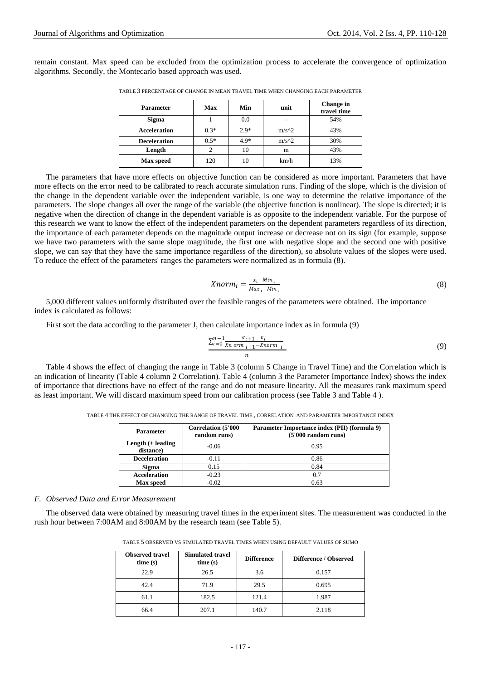remain constant. Max speed can be excluded from the optimization process to accelerate the convergence of optimization algorithms. Secondly, the Montecarlo based approach was used.

| <b>Parameter</b>    | Max    | Min    | unit    | Change in<br>travel time |
|---------------------|--------|--------|---------|--------------------------|
| Sigma               |        | 0.0    |         | 54%                      |
| <b>Acceleration</b> | $0.3*$ | $2.9*$ | $m/s^2$ | 43%                      |
| <b>Deceleration</b> | $0.5*$ | $4.9*$ | $m/s^2$ | 30%                      |
| Length              |        | 10     | m       | 43%                      |
| <b>Max</b> speed    | 120    | 10     | km/h    | 13%                      |

TABLE 3 PERCENTAGE OF CHANGE IN MEAN TRAVEL TIME WHEN CHANGING EACH PARAMETER

The parameters that have more effects on objective function can be considered as more important. Parameters that have more effects on the error need to be calibrated to reach accurate simulation runs. Finding of the slope, which is the division of the change in the dependent variable over the independent variable, is one way to determine the relative importance of the parameters. The slope changes all over the range of the variable (the objective function is nonlinear). The slope is directed; it is negative when the direction of change in the dependent variable is as opposite to the independent variable. For the purpose of this research we want to know the effect of the independent parameters on the dependent parameters regardless of its direction, the importance of each parameter depends on the magnitude output increase or decrease not on its sign (for example, suppose we have two parameters with the same slope magnitude, the first one with negative slope and the second one with positive slope, we can say that they have the same importance regardless of the direction), so absolute values of the slopes were used. To reduce the effect of the parameters' ranges the parameters were normalized as in formula (8).

$$
Xnorm_i = \frac{x_i - Min_i}{Max_i - Min_i} \tag{8}
$$

5,000 different values uniformly distributed over the feasible ranges of the parameters were obtained. The importance index is calculated as follows:

First sort the data according to the parameter J, then calculate importance index as in formula (9)

$$
\frac{\sum_{i=0}^{n-1} \frac{e_{i+1} - e_i}{\sum_{i=0}^{n} \sigma r m_{i+1} - X norm_i}}{n}
$$
\n
$$
(9)
$$

Table 4 shows the effect of changing the range in Table 3 (column 5 Change in Travel Time) and the Correlation which is an indication of linearity (Table 4 column 2 Correlation). Table 4 (column 3 the Parameter Importance Index) shows the index of importance that directions have no effect of the range and do not measure linearity. All the measures rank maximum speed as least important. We will discard maximum speed from our calibration process (see Table 3 and Table 4 ).

TABLE 4 THE EFFECT OF CHANGING THE RANGE OF TRAVEL TIME , CORRELATION AND PARAMETER IMPORTANCE INDEX

| <b>Correlation (5'000)</b><br><b>Parameter</b><br>random runs) |         | Parameter Importance index (PII) (formula 9)<br>(5'000 random runs) |  |  |
|----------------------------------------------------------------|---------|---------------------------------------------------------------------|--|--|
| Length $(+$ leading<br>distance)                               | $-0.06$ | 0.95                                                                |  |  |
| <b>Deceleration</b>                                            | $-0.11$ | 0.86                                                                |  |  |
| <b>Sigma</b>                                                   | 0.15    | 0.84                                                                |  |  |
| <b>Acceleration</b>                                            | $-0.23$ | 0.7                                                                 |  |  |
| Max speed                                                      | $-0.02$ | 0.63                                                                |  |  |

## *F. Observed Data and Error Measurement*

The observed data were obtained by measuring travel times in the experiment sites. The measurement was conducted in the rush hour between 7:00AM and 8:00AM by the research team (see Table 5).

| TABLE 5 OBSERVED VS SIMULATED TRAVEL TIMES WHEN USING DEFAULT VALUES OF SUMO |
|------------------------------------------------------------------------------|
|------------------------------------------------------------------------------|

| <b>Observed travel</b><br>time(s) | <b>Simulated travel</b><br>time(s) | <b>Difference</b> | Difference / Observed |
|-----------------------------------|------------------------------------|-------------------|-----------------------|
| 22.9                              | 26.5                               | 3.6               | 0.157                 |
| 42.4                              | 71.9                               | 29.5              | 0.695                 |
| 61.1                              | 182.5                              | 121.4             | 1.987                 |
| 66.4                              | 207.1                              | 140.7             | 2.118                 |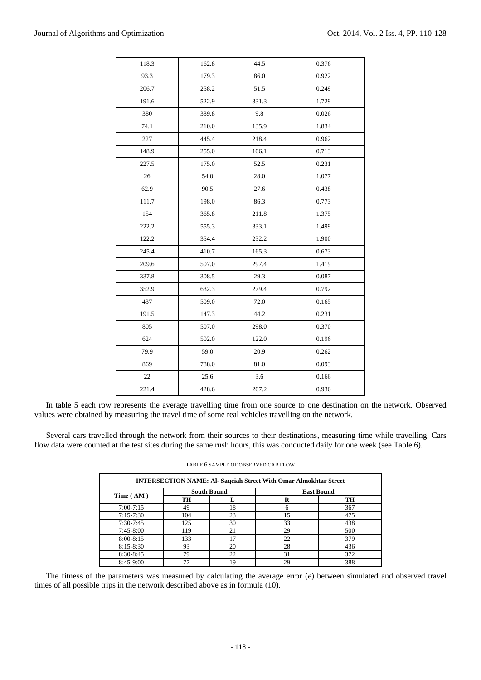| 118.3 | 162.8 | 44.5  | 0.376 |
|-------|-------|-------|-------|
| 93.3  | 179.3 | 86.0  | 0.922 |
| 206.7 | 258.2 | 51.5  | 0.249 |
| 191.6 | 522.9 | 331.3 | 1.729 |
| 380   | 389.8 | 9.8   | 0.026 |
| 74.1  | 210.0 | 135.9 | 1.834 |
| 227   | 445.4 | 218.4 | 0.962 |
| 148.9 | 255.0 | 106.1 | 0.713 |
| 227.5 | 175.0 | 52.5  | 0.231 |
| 26    | 54.0  | 28.0  | 1.077 |
| 62.9  | 90.5  | 27.6  | 0.438 |
| 111.7 | 198.0 | 86.3  | 0.773 |
| 154   | 365.8 | 211.8 | 1.375 |
| 222.2 | 555.3 | 333.1 | 1.499 |
| 122.2 | 354.4 | 232.2 | 1.900 |
| 245.4 | 410.7 | 165.3 | 0.673 |
| 209.6 | 507.0 | 297.4 | 1.419 |
| 337.8 | 308.5 | 29.3  | 0.087 |
| 352.9 | 632.3 | 279.4 | 0.792 |
| 437   | 509.0 | 72.0  | 0.165 |
| 191.5 | 147.3 | 44.2  | 0.231 |
| 805   | 507.0 | 298.0 | 0.370 |
| 624   | 502.0 | 122.0 | 0.196 |
| 79.9  | 59.0  | 20.9  | 0.262 |
| 869   | 788.0 | 81.0  | 0.093 |
| 22    | 25.6  | 3.6   | 0.166 |
| 221.4 | 428.6 | 207.2 | 0.936 |
|       |       |       |       |

In table 5 each row represents the average travelling time from one source to one destination on the network. Observed values were obtained by measuring the travel time of some real vehicles travelling on the network.

Several cars travelled through the network from their sources to their destinations, measuring time while travelling. Cars flow data were counted at the test sites during the same rush hours, this was conducted daily for one week (see Table 6).

| <b>INTERSECTION NAME: Al- Saqeiah Street With Omar Almokhtar Street</b> |                    |    |    |                   |  |
|-------------------------------------------------------------------------|--------------------|----|----|-------------------|--|
|                                                                         | <b>South Bound</b> |    |    | <b>East Bound</b> |  |
| Time (AM)                                                               | TH                 |    | R  | TH                |  |
| $7:00 - 7:15$                                                           | 49                 | 18 | 6  | 367               |  |
| $7:15 - 7:30$                                                           | 104                | 23 | 15 | 475               |  |
| $7:30-7:45$                                                             | 125                | 30 | 33 | 438               |  |
| $7:45-8:00$                                                             | 119                | 21 | 29 | 500               |  |
| $8:00-8:15$                                                             | 133                | ۱7 | 22 | 379               |  |
| $8:15 - 8:30$                                                           | 93                 | 20 | 28 | 436               |  |
| $8:30-8:45$                                                             | 79                 | 22 | 31 | 372               |  |
| $8:45-9:00$                                                             |                    | 19 | 29 | 388               |  |

TABLE 6 SAMPLE OF OBSERVED CAR FLOW

The fitness of the parameters was measured by calculating the average error (*e*) between simulated and observed travel times of all possible trips in the network described above as in formula (10).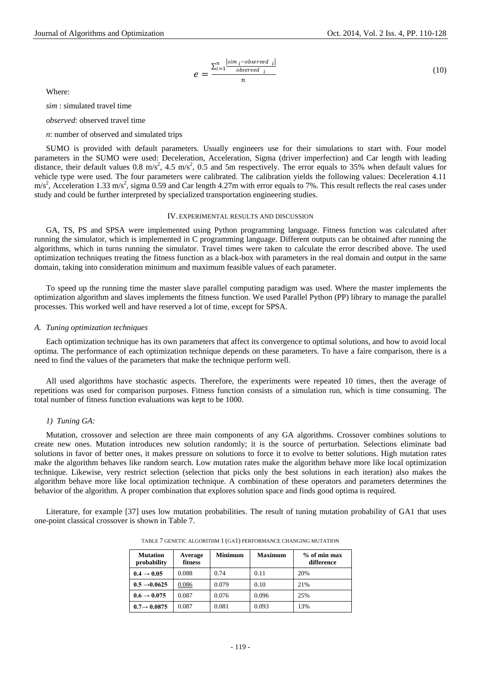$$
e = \frac{\sum_{i=1}^{n} \frac{|sim_i - observed_i|}{observed_i}}{n}
$$
 (10)

Where:

*sim* : simulated travel time

*observed*: observed travel time

*n*: number of observed and simulated trips

SUMO is provided with default parameters. Usually engineers use for their simulations to start with. Four model parameters in the SUMO were used: Deceleration, Acceleration, Sigma (driver imperfection) and Car length with leading distance, their default values  $0.8 \text{ m/s}^2$ ,  $4.5 \text{ m/s}^2$ ,  $0.5$  and 5m respectively. The error equals to 35% when default values for vehicle type were used. The four parameters were calibrated. The calibration yields the following values: Deceleration 4.11  $\text{m/s}^2$ , Acceleration 1.33 m/s<sup>2</sup>, sigma 0.59 and Car length 4.27m with error equals to 7%. This result reflects the real cases under study and could be further interpreted by specialized transportation engineering studies.

## IV. EXPERIMENTAL RESULTS AND DISCUSSION

GA, TS, PS and SPSA were implemented using Python programming language. Fitness function was calculated after running the simulator, which is implemented in C programming language. Different outputs can be obtained after running the algorithms, which in turns running the simulator. Travel times were taken to calculate the error described above. The used optimization techniques treating the fitness function as a black-box with parameters in the real domain and output in the same domain, taking into consideration minimum and maximum feasible values of each parameter.

To speed up the running time the master slave parallel computing paradigm was used. Where the master implements the optimization algorithm and slaves implements the fitness function. We used Parallel Python (PP) library to manage the parallel processes. This worked well and have reserved a lot of time, except for SPSA.

#### *A. Tuning optimization techniques*

Each optimization technique has its own parameters that affect its convergence to optimal solutions, and how to avoid local optima. The performance of each optimization technique depends on these parameters. To have a faire comparison, there is a need to find the values of the parameters that make the technique perform well.

All used algorithms have stochastic aspects. Therefore, the experiments were repeated 10 times, then the average of repetitions was used for comparison purposes. Fitness function consists of a simulation run, which is time consuming. The total number of fitness function evaluations was kept to be 1000.

## *1) Tuning GA:*

Mutation, crossover and selection are three main components of any GA algorithms. Crossover combines solutions to create new ones. Mutation introduces new solution randomly; it is the source of perturbation. Selections eliminate bad solutions in favor of better ones, it makes pressure on solutions to force it to evolve to better solutions. High mutation rates make the algorithm behaves like random search. Low mutation rates make the algorithm behave more like local optimization technique. Likewise, very restrict selection (selection that picks only the best solutions in each iteration) also makes the algorithm behave more like local optimization technique. A combination of these operators and parameters determines the behavior of the algorithm. A proper combination that explores solution space and finds good optima is required.

Literature, for example [37] uses low mutation probabilities. The result of tuning mutation probability of GA1 that uses one-point classical crossover is shown in Table 7.

| <b>Mutation</b><br>probability | Average<br>fitness | <b>Minimum</b> | <b>Maximum</b> | $%$ of min max<br>difference |
|--------------------------------|--------------------|----------------|----------------|------------------------------|
| $0.4 \rightarrow 0.05$         | 0.088              | 0.74           | 0.11           | 20%                          |
| $0.5 \rightarrow 0.0625$       | 0.086              | 0.079          | 0.10           | 21%                          |
| $0.6 \rightarrow 0.075$        | 0.087              | 0.076          | 0.096          | 25%                          |
| $0.7 \rightarrow 0.0875$       | 0.087              | 0.081          | 0.093          | 13%                          |

TABLE 7 GENETIC ALGORITHM 1 (GA1) PERFORMANCE CHANGING MUTATION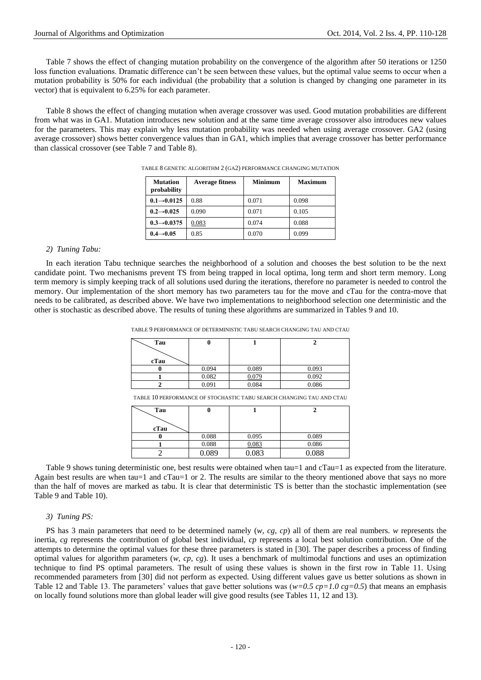Table 7 shows the effect of changing mutation probability on the convergence of the algorithm after 50 iterations or 1250 loss function evaluations. Dramatic difference can't be seen between these values, but the optimal value seems to occur when a mutation probability is 50% for each individual (the probability that a solution is changed by changing one parameter in its vector) that is equivalent to 6.25% for each parameter.

Table 8 shows the effect of changing mutation when average crossover was used. Good mutation probabilities are different from what was in GA1. Mutation introduces new solution and at the same time average crossover also introduces new values for the parameters. This may explain why less mutation probability was needed when using average crossover. GA2 (using average crossover) shows better convergence values than in GA1, which implies that average crossover has better performance than classical crossover (see Table 7 and Table 8).

| <b>Mutation</b><br>probability | <b>Average fitness</b> | <b>Minimum</b> | Maximum |
|--------------------------------|------------------------|----------------|---------|
| $0.1 \rightarrow 0.0125$       | 0.88                   | 0.071          | 0.098   |
| $0.2 \rightarrow 0.025$        | 0.090                  | 0.071          | 0.105   |
| $0.3 \rightarrow 0.0375$       | 0.083                  | 0.074          | 0.088   |
| $0.4 \rightarrow 0.05$         | 0.85                   | 0.070          | 0.099   |

TABLE 8 GENETIC ALGORITHM 2 (GA2) PERFORMANCE CHANGING MUTATION

#### *2) Tuning Tabu:*

In each iteration Tabu technique searches the neighborhood of a solution and chooses the best solution to be the next candidate point. Two mechanisms prevent TS from being trapped in local optima, long term and short term memory. Long term memory is simply keeping track of all solutions used during the iterations, therefore no parameter is needed to control the memory. Our implementation of the short memory has two parameters tau for the move and cTau for the contra-move that needs to be calibrated, as described above. We have two implementations to neighborhood selection one deterministic and the other is stochastic as described above. The results of tuning these algorithms are summarized in Tables 9 and 10.

TABLE 9 PERFORMANCE OF DETERMINISTIC TABU SEARCH CHANGING TAU AND CTAU

| Tau  | υ     |       |       |
|------|-------|-------|-------|
|      |       |       |       |
| cTau |       |       |       |
|      | 0.094 | 0.089 | 0.093 |
|      | 0.082 | 0.079 | 0.092 |
|      | 0.091 | 0.084 | 0.086 |

TABLE 10 PERFORMANCE OF STOCHASTIC TABU SEARCH CHANGING TAU AND CTAU

| Tau  | v     |       |       |
|------|-------|-------|-------|
|      |       |       |       |
| cTau |       |       |       |
|      | 0.088 | 0.095 | 0.089 |
|      | 0.088 | 0.083 | 0.086 |
|      | 0.089 | 0.083 | 0.088 |

Table 9 shows tuning deterministic one, best results were obtained when tau=1 and cTau=1 as expected from the literature. Again best results are when tau=1 and cTau=1 or 2. The results are similar to the theory mentioned above that says no more than the half of moves are marked as tabu. It is clear that deterministic TS is better than the stochastic implementation (see Table 9 and Table 10).

## *3) Tuning PS:*

PS has 3 main parameters that need to be determined namely (*w, cg, cp*) all of them are real numbers. *w* represents the inertia, *cg* represents the contribution of global best individual, *cp* represents a local best solution contribution. One of the attempts to determine the optimal values for these three parameters is stated in [30]. The paper describes a process of finding optimal values for algorithm parameters (*w, cp, cg*). It uses a benchmark of multimodal functions and uses an optimization technique to find PS optimal parameters. The result of using these values is shown in the first row in Table 11. Using recommended parameters from [30] did not perform as expected. Using different values gave us better solutions as shown in Table 12 and Table 13. The parameters' values that gave better solutions was ( $w=0.5$  cp=1.0 cg=0.5) that means an emphasis on locally found solutions more than global leader will give good results (see Tables 11, 12 and 13).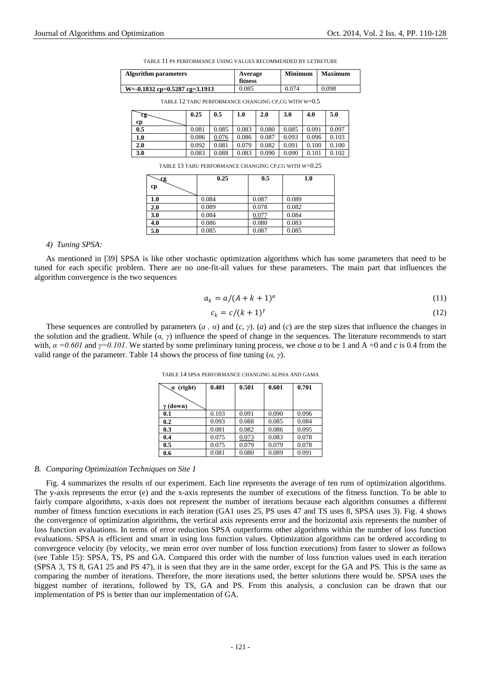TABLE 11 PS PERFORMANCE USING VALUES RECOMMENDED BY LETRETURE

| <b>Algorithm parameters</b>       | Average<br>fitness | <b>Minimum</b> | <b>Maximum</b> |
|-----------------------------------|--------------------|----------------|----------------|
| $W = -0.1832$ cp=0.5287 cg=3.1913 | 0.085              | 0.074          | 0.098          |

| C.0 + 1111 P.O. C. CO AND LEAD ONWARTED CHARGERY OF LOW MADE. I |       |       |       |       |       |       |       |
|-----------------------------------------------------------------|-------|-------|-------|-------|-------|-------|-------|
| cg-                                                             | 0.25  | 0.5   | 1.0   | 2.0   | 3.0   | 4.0   | 5.0   |
| cр                                                              |       |       |       |       |       |       |       |
| 0.5                                                             | 0.081 | 0.085 | 0.083 | 0.080 | 0.085 | 0.091 | 0.097 |
| 1.0                                                             | 0.086 | 0.076 | 0.086 | 0.087 | 0.093 | 0.096 | 0.103 |
| 2.0                                                             | 0.092 | 0.081 | 0.079 | 0.082 | 0.091 | 0.100 | 0.100 |
| 3.0                                                             | 0.083 | 0.088 | 0.083 | 0.090 | 0.090 | 0.101 | 0.102 |

TABLE 12 TABU PERFORMANCE CHANGING CP,CG WITH W=0.5

TABLE 13 TABU PERFORMANCE CHANGING CP,CG WITH W=0.25

| $\mathbf{C}$ | 0.25  | 0.5   | 1.0   |
|--------------|-------|-------|-------|
| cp           |       |       |       |
| 1.0          | 0.084 | 0.087 | 0.089 |
| 2.0          | 0.089 | 0.078 | 0.082 |
| 3.0          | 0.084 | 0.077 | 0.084 |
| 4.0          | 0.086 | 0.080 | 0.083 |
| 5.0          | 0.085 | 0.087 | 0.085 |

#### *4) Tuning SPSA:*

As mentioned in [39] SPSA is like other stochastic optimization algorithms which has some parameters that need to be tuned for each specific problem. There are no one-fit-all values for these parameters. The main part that influences the algorithm convergence is the two sequences

$$
a_k = a/(A + k + 1)^{\alpha} \tag{11}
$$

$$
c_k = c/(k+1)^{\gamma} \tag{12}
$$

These sequences are controlled by parameters (*a , α*) and (*c, γ*). (*a*) and (*c*) are the step sizes that influence the changes in the solution and the gradient. While (*α, γ*) influence the speed of change in the sequences. The literature recommends to start with,  $\alpha = 0.601$  and  $\gamma = 0.101$ . We started by some preliminary tuning process, we chose *a* to be 1 and A =0 and *c* is 0.4 from the valid range of the parameter. Table 14 shows the process of fine tuning  $(\alpha, \gamma)$ .

| $\alpha$ (right) | 0.401 | 0.501 | 0.601 | 0.701 |
|------------------|-------|-------|-------|-------|
|                  |       |       |       |       |
| $\gamma$ (down)  |       |       |       |       |
| 0.1              | 0.103 | 0.091 | 0.090 | 0.096 |
| 0.2              | 0.093 | 0.088 | 0.085 | 0.084 |
| 0.3              | 0.081 | 0.082 | 0.086 | 0.095 |
| 0.4              | 0.075 | 0.073 | 0.083 | 0.078 |
| 0.5              | 0.075 | 0.079 | 0.079 | 0.078 |
| 0.6              | 0.081 | 0.080 | 0.089 | 0.091 |

TABLE 14 SPSA PERFORMANCE CHANGING ALPHA AND GAMA

#### *B. Comparing Optimization Techniques on Site 1*

Fig. 4 summarizes the results of our experiment. Each line represents the average of ten runs of optimization algorithms. The y-axis represents the error (*e*) and the x-axis represents the number of executions of the fitness function. To be able to fairly compare algorithms, x-axis does not represent the number of iterations because each algorithm consumes a different number of fitness function executions in each iteration (GA1 uses 25, PS uses 47 and TS uses 8, SPSA uses 3). Fig. 4 shows the convergence of optimization algorithms, the vertical axis represents error and the horizontal axis represents the number of loss function evaluations. In terms of error reduction SPSA outperforms other algorithms within the number of loss function evaluations. SPSA is efficient and smart in using loss function values. Optimization algorithms can be ordered according to convergence velocity (by velocity, we mean error over number of loss function executions) from faster to slower as follows (see Table 15): SPSA, TS, PS and GA. Compared this order with the number of loss function values used in each iteration (SPSA 3, TS 8, GA1 25 and PS 47), it is seen that they are in the same order, except for the GA and PS. This is the same as comparing the number of iterations. Therefore, the more iterations used, the better solutions there would be. SPSA uses the biggest number of iterations, followed by TS, GA and PS. From this analysis, a conclusion can be drawn that our implementation of PS is better than our implementation of GA.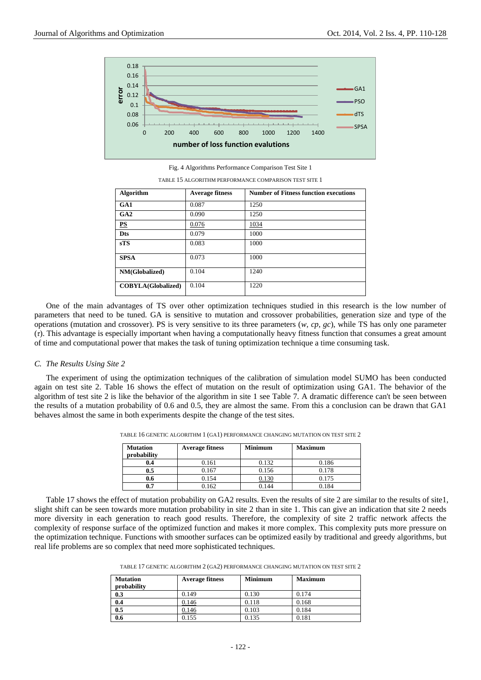

Fig. 4 Algorithms Performance Comparison Test Site 1

| <b>Algorithm</b>          | <b>Average fitness</b> | <b>Number of Fitness function executions</b> |
|---------------------------|------------------------|----------------------------------------------|
| GA1                       | 0.087                  | 1250                                         |
| GA2                       | 0.090                  | 1250                                         |
| PS                        | 0.076                  | 1034                                         |
| <b>Dts</b>                | 0.079                  | 1000                                         |
| sTS                       | 0.083                  | 1000                                         |
| <b>SPSA</b>               | 0.073                  | 1000                                         |
| NM(Globalized)            | 0.104                  | 1240                                         |
| <b>COBYLA(Globalized)</b> | 0.104                  | 1220                                         |

TABLE 15 ALGORITHM PERFORMANCE COMPARISON TEST SITE 1

One of the main advantages of TS over other optimization techniques studied in this research is the low number of parameters that need to be tuned. GA is sensitive to mutation and crossover probabilities, generation size and type of the operations (mutation and crossover). PS is very sensitive to its three parameters (*w, cp, gc*), while TS has only one parameter (*τ*). This advantage is especially important when having a computationally heavy fitness function that consumes a great amount of time and computational power that makes the task of tuning optimization technique a time consuming task.

#### *C. The Results Using Site 2*

The experiment of using the optimization techniques of the calibration of simulation model SUMO has been conducted again on test site 2. Table 16 shows the effect of mutation on the result of optimization using GA1. The behavior of the algorithm of test site 2 is like the behavior of the algorithm in site 1 see Table 7. A dramatic difference can't be seen between the results of a mutation probability of 0.6 and 0.5, they are almost the same. From this a conclusion can be drawn that GA1 behaves almost the same in both experiments despite the change of the test sites.

| <b>Mutation</b><br>probability | <b>Average fitness</b> | <b>Minimum</b> | <b>Maximum</b> |
|--------------------------------|------------------------|----------------|----------------|
| 0.4                            | 0.161                  | 0.132          | 0.186          |
| $0.5\,$                        | 0.167                  | 0.156          | 0.178          |
| 0.6                            | 0.154                  | .130           | 0.175          |
| 0.7                            | 0.162                  | 0.144          | 0.184          |

TABLE 16 GENETIC ALGORITHM 1 (GA1) PERFORMANCE CHANGING MUTATION ON TEST SITE 2

Table 17 shows the effect of mutation probability on GA2 results. Even the results of site 2 are similar to the results of site1, slight shift can be seen towards more mutation probability in site 2 than in site 1. This can give an indication that site 2 needs more diversity in each generation to reach good results. Therefore, the complexity of site 2 traffic network affects the complexity of response surface of the optimized function and makes it more complex. This complexity puts more pressure on the optimization technique. Functions with smoother surfaces can be optimized easily by traditional and greedy algorithms, but real life problems are so complex that need more sophisticated techniques.

| TABLE 17 GENETIC ALGORITHM 2 (GA2) PERFORMANCE CHANGING MUTATION ON TEST SITE 2 |  |
|---------------------------------------------------------------------------------|--|
|---------------------------------------------------------------------------------|--|

| <b>Mutation</b><br>probability | <b>Average fitness</b> | <b>Minimum</b> | <b>Maximum</b> |
|--------------------------------|------------------------|----------------|----------------|
|                                |                        | 0.130          | 0.174          |
| 0.3                            | 0.149                  |                |                |
| 0.4                            | 0.146                  | 0.118          | 0.168          |
| 0.5                            | 0.146                  | 0.103          | 0.184          |
| 0.6                            | 0.155                  | 0.135          | 0.181          |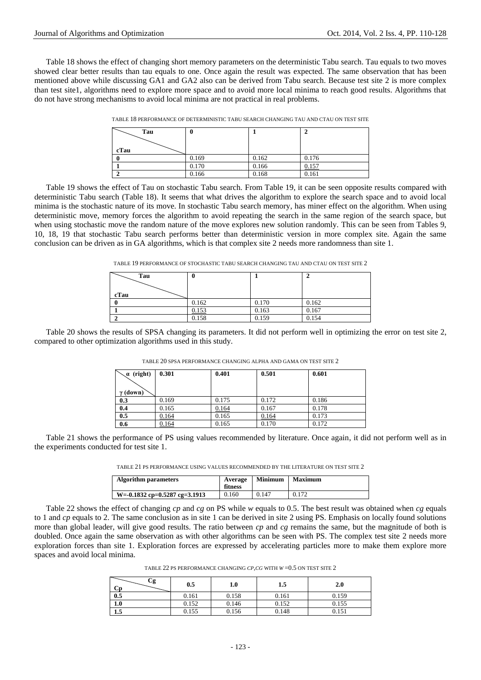Table 18 shows the effect of changing short memory parameters on the deterministic Tabu search. Tau equals to two moves showed clear better results than tau equals to one. Once again the result was expected. The same observation that has been mentioned above while discussing GA1 and GA2 also can be derived from Tabu search. Because test site 2 is more complex than test site1, algorithms need to explore more space and to avoid more local minima to reach good results. Algorithms that do not have strong mechanisms to avoid local minima are not practical in real problems.

| Tau<br>cTau | v     |       | ∸     |
|-------------|-------|-------|-------|
|             | 0.169 | 0.162 | 0.176 |
|             | 0.170 | 0.166 | 0.157 |
|             | 0.166 | 0.168 | 0.161 |

TABLE 18 PERFORMANCE OF DETERMINISTIC TABU SEARCH CHANGING TAU AND CTAU ON TEST SITE

Table 19 shows the effect of Tau on stochastic Tabu search. From Table 19, it can be seen opposite results compared with deterministic Tabu search (Table 18). It seems that what drives the algorithm to explore the search space and to avoid local minima is the stochastic nature of its move. In stochastic Tabu search memory, has miner effect on the algorithm. When using deterministic move, memory forces the algorithm to avoid repeating the search in the same region of the search space, but when using stochastic move the random nature of the move explores new solution randomly. This can be seen from Tables 9, 10, 18, 19 that stochastic Tabu search performs better than deterministic version in more complex site. Again the same conclusion can be driven as in GA algorithms, which is that complex site 2 needs more randomness than site 1.

| TABLE 19 PERFORMANCE OF STOCHASTIC TABU SEARCH CHANGING TAU AND CTAU ON TEST SITE 2 |  |  |
|-------------------------------------------------------------------------------------|--|--|
|                                                                                     |  |  |

| Tau  | v     |       |       |
|------|-------|-------|-------|
| cTau |       |       |       |
|      | 0.162 | 0.170 | 0.162 |
|      | 0.153 | 0.163 | 0.167 |
|      | 0.158 | 0.159 | 0.154 |

Table 20 shows the results of SPSA changing its parameters. It did not perform well in optimizing the error on test site 2, compared to other optimization algorithms used in this study.

| $\alpha$ (right) | 0.301 | 0.401 | 0.501 | 0.601 |
|------------------|-------|-------|-------|-------|
| $\gamma$ (down)  |       |       |       |       |
| 0.3              | 0.169 | 0.175 | 0.172 | 0.186 |
| 0.4              | 0.165 | 0.164 | 0.167 | 0.178 |
| 0.5              | 0.164 | 0.165 | 0.164 | 0.173 |
| 0.6              | 0.164 | 0.165 | 0.170 | 0.172 |

TABLE 20 SPSA PERFORMANCE CHANGING ALPHA AND GAMA ON TEST SITE 2

Table 21 shows the performance of PS using values recommended by literature. Once again, it did not perform well as in the experiments conducted for test site 1.

TABLE 21 PS PERFORMANCE USING VALUES RECOMMENDED BY THE LITERATURE ON TEST SITE 2

| <b>Algorithm parameters</b>     | Average<br>fitness | <b>Minimum</b> | <b>Maximum</b> |
|---------------------------------|--------------------|----------------|----------------|
| $W=-0.1832$ cp=0.5287 cg=3.1913 | 0.160              | 0.147          | 0.172          |

Table 22 shows the effect of changing *cp* and *cg* on PS while *w* equals to 0.5. The best result was obtained when *cg* equals to 1 and *cp* equals to 2. The same conclusion as in site 1 can be derived in site 2 using PS. Emphasis on locally found solutions more than global leader, will give good results. The ratio between *cp* and *cg* remains the same, but the magnitude of both is doubled. Once again the same observation as with other algorithms can be seen with PS. The complex test site 2 needs more exploration forces than site 1. Exploration forces are expressed by accelerating particles more to make them explore more spaces and avoid local minima.

TABLE 22 PS PERFORMANCE CHANGING *CP,CG* WITH *W* =0.5 ON TEST SITE 2

| Сg<br>Cр | 0.5   | 1.0   | 1.5   | 2.0   |
|----------|-------|-------|-------|-------|
| 0.5      | 0.161 | 0.158 | 0.161 | 0.159 |
| 1.0      | 0.152 | 0.146 | 0.152 | 0.155 |
| 1.J      | 0.155 | 0.156 | 0.148 | 0.151 |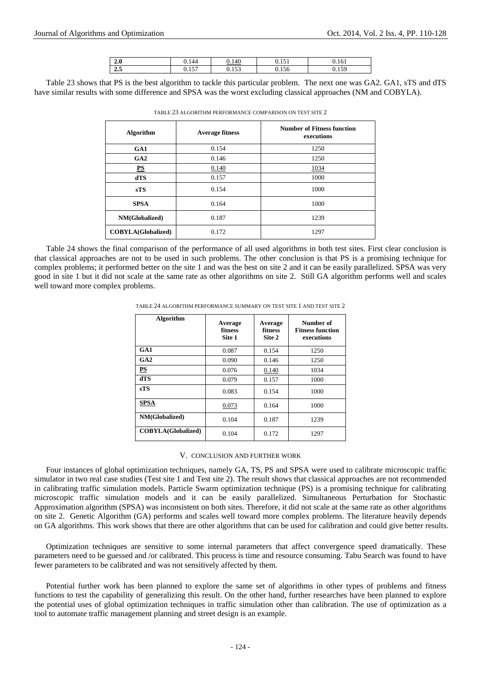| 2.0           | 0.144    | 0.140    | 1 <sup>c</sup><br><u></u> | 1/1<br>0.161 |
|---------------|----------|----------|---------------------------|--------------|
| $\sim$ $\sim$ | $15-1$   | 152      | U. 1 20                   | 1.50         |
| 4.5           | v. 1 J 1 | v. 1 J J |                           | 0.1J         |

Table 23 shows that PS is the best algorithm to tackle this particular problem. The next one was GA2. GA1, sTS and dTS have similar results with some difference and SPSA was the worst excluding classical approaches (NM and COBYLA).

| <b>Algorithm</b>          | <b>Average fitness</b> | <b>Number of Fitness function</b><br>executions |  |  |
|---------------------------|------------------------|-------------------------------------------------|--|--|
| GA1                       | 0.154                  | 1250                                            |  |  |
| GA2                       | 0.146                  | 1250                                            |  |  |
| PS                        | 0.140                  | 1034                                            |  |  |
| dTS                       | 0.157                  | 1000                                            |  |  |
| <b>sTS</b>                | 0.154                  | 1000                                            |  |  |
| <b>SPSA</b>               | 0.164                  | 1000                                            |  |  |
| NM(Globalized)            | 0.187                  | 1239                                            |  |  |
| <b>COBYLA(Globalized)</b> | 0.172                  | 1297                                            |  |  |

TABLE 23 ALGORITHM PERFORMANCE COMPARISON ON TEST SITE 2

Table 24 shows the final comparison of the performance of all used algorithms in both test sites. First clear conclusion is that classical approaches are not to be used in such problems. The other conclusion is that PS is a promising technique for complex problems; it performed better on the site 1 and was the best on site 2 and it can be easily parallelized. SPSA was very good in site 1 but it did not scale at the same rate as other algorithms on site 2. Still GA algorithm performs well and scales well toward more complex problems.

| Algorithm                 | Average<br>fitness<br>Site 1 | Average<br>fitness<br>Site 2 | Number of<br><b>Fitness function</b><br>executions |
|---------------------------|------------------------------|------------------------------|----------------------------------------------------|
| GAI                       | 0.087                        | 0.154                        | 1250                                               |
| GA2                       | 0.090                        | 0.146                        | 1250                                               |
| $_{\rm PS}$               | 0.076                        | 0.140                        | 1034                                               |
| dTS                       | 0.079                        | 0.157                        | 1000                                               |
| <b>sTS</b>                | 0.083                        | 0.154                        | 1000                                               |
| <b>SPSA</b>               | 0.073                        | 0.164                        | 1000                                               |
| NM(Globalized)            | 0.104                        | 0.187                        | 1239                                               |
| <b>COBYLA(Globalized)</b> | 0.104                        | 0.172                        | 1297                                               |

TABLE 24 ALGORITHM PERFORMANCE SUMMARY ON TEST SITE 1 AND TEST SITE 2

#### V. CONCLUSION AND FURTHER WORK

Four instances of global optimization techniques, namely GA, TS, PS and SPSA were used to calibrate microscopic traffic simulator in two real case studies (Test site 1 and Test site 2). The result shows that classical approaches are not recommended in calibrating traffic simulation models. Particle Swarm optimization technique (PS) is a promising technique for calibrating microscopic traffic simulation models and it can be easily parallelized. Simultaneous Perturbation for Stochastic Approximation algorithm (SPSA) was inconsistent on both sites. Therefore, it did not scale at the same rate as other algorithms on site 2. Genetic Algorithm (GA) performs and scales well toward more complex problems. The literature heavily depends on GA algorithms. This work shows that there are other algorithms that can be used for calibration and could give better results.

Optimization techniques are sensitive to some internal parameters that affect convergence speed dramatically. These parameters need to be guessed and /or calibrated. This process is time and resource consuming. Tabu Search was found to have fewer parameters to be calibrated and was not sensitively affected by them.

Potential further work has been planned to explore the same set of algorithms in other types of problems and fitness functions to test the capability of generalizing this result. On the other hand, further researches have been planned to explore the potential uses of global optimization techniques in traffic simulation other than calibration. The use of optimization as a tool to automate traffic management planning and street design is an example.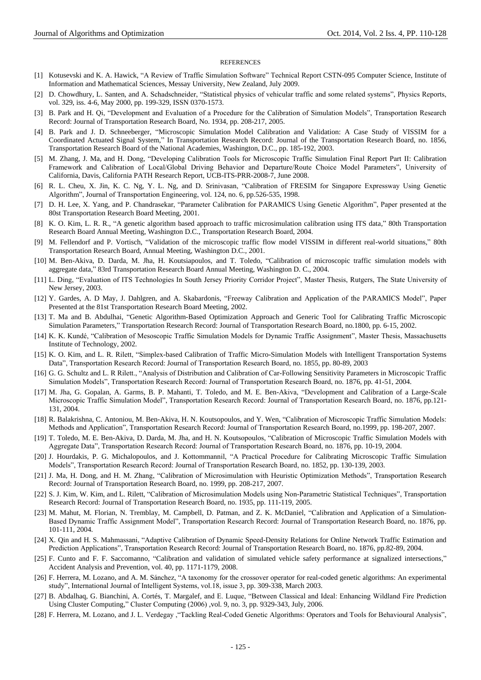#### **REFERENCES**

- [1] Kotusevski and K. A. Hawick, "A Review of Traffic Simulation Software" Technical Report CSTN-095 Computer Science, Institute of Information and Mathematical Sciences, Messay University, New Zealand, July 2009.
- [2] D. Chowdhury, L. Santen, and A. Schadschneider, "Statistical physics of vehicular traffic and some related systems", Physics Reports, vol. 329, iss. 4-6, May 2000, pp. 199-329, ISSN 0370-1573.
- [3] B. Park and H. Qi, "Development and Evaluation of a Procedure for the Calibration of Simulation Models", Transportation Research Record: Journal of Transportation Research Board, No. 1934, pp. 208-217, 2005.
- [4] B. Park and J. D. Schneeberger, "Microscopic Simulation Model Calibration and Validation: A Case Study of VISSIM for a Coordinated Actuated Signal System," In Transportation Research Record: Journal of the Transportation Research Board, no. 1856, Transportation Research Board of the National Academies, Washington, D.C., pp. 185-192, 2003.
- [5] M. Zhang, J. Ma, and H. Dong, "Developing Calibration Tools for Microscopic Traffic Simulation Final Report Part II: Calibration Framework and Calibration of Local/Global Driving Behavior and Departure/Route Choice Model Parameters", University of California, Davis, California PATH Research Report, UCB-ITS-PRR-2008-7, June 2008.
- [6] R. L. Cheu, X. Jin, K. C. Ng, Y. L. Ng, and D. Srinivasan, "Calibration of FRESIM for Singapore Expressway Using Genetic Algorithm", Journal of Transportation Engineering, vol. 124, no. 6, pp.526-535, 1998.
- [7] D. H. Lee, X. Yang, and P. Chandrasekar, "Parameter Calibration for PARAMICS Using Genetic Algorithm", Paper presented at the 80st Transportation Research Board Meeting, 2001.
- [8] K. O. Kim, L. R. R., "A genetic algorithm based approach to traffic microsimulation calibration using ITS data," 80th Transportation Research Board Annual Meeting, Washington D.C., Transportation Research Board, 2004.
- [9] M. Fellendorf and P. Vortisch, "Validation of the microscopic traffic flow model VISSIM in different real-world situations," 80th Transportation Research Board, Annual Meeting, Washington D.C., 2001.
- [10] M. Ben-Akiva, D. Darda, M. Jha, H. Koutsiapoulos, and T. Toledo, "Calibration of microscopic traffic simulation models with aggregate data," 83rd Transportation Research Board Annual Meeting, Washington D. C., 2004.
- [11] L. Ding, "Evaluation of ITS Technologies In South Jersey Priority Corridor Project", Master Thesis, Rutgers, The State University of New Jersey, 2003.
- [12] Y. Gardes, A. D May, J. Dahlgren, and A. Skabardonis, "Freeway Calibration and Application of the PARAMICS Model", Paper Presented at the 81st Transportation Research Board Meeting, 2002.
- [13] T. Ma and B. Abdulhai, "Genetic Algorithm-Based Optimization Approach and Generic Tool for Calibrating Traffic Microscopic Simulation Parameters," Transportation Research Record: Journal of Transportation Research Board, no.1800, pp. 6-15, 2002.
- [14] K. K. Kundé, "Calibration of Mesoscopic Traffic Simulation Models for Dynamic Traffic Assignment", Master Thesis, Massachusetts Institute of Technology, 2002.
- [15] K. O. Kim, and L. R. Rilett, "Simplex-based Calibration of Traffic Micro-Simulation Models with Intelligent Transportation Systems Data", Transportation Research Record: Journal of Transportation Research Board, no. 1855, pp. 80-89, 2003
- [16] G. G. Schultz and L. R Rilett., "Analysis of Distribution and Calibration of Car-Following Sensitivity Parameters in Microscopic Traffic Simulation Models", Transportation Research Record: Journal of Transportation Research Board, no. 1876, pp. 41-51, 2004.
- [17] M. Jha, G. Gopalan, A. Garms, B. P. Mahanti, T. Toledo, and M. E. Ben-Akiva, "Development and Calibration of a Large-Scale Microscopic Traffic Simulation Model", Transportation Research Record: Journal of Transportation Research Board, no. 1876, pp.121- 131, 2004.
- [18] R. Balakrishna, C. Antoniou, M. Ben-Akiva, H. N. Koutsopoulos, and Y. Wen, "Calibration of Microscopic Traffic Simulation Models: Methods and Application", Transportation Research Record: Journal of Transportation Research Board, no.1999, pp. 198-207, 2007.
- [19] T. Toledo, M. E. Ben-Akiva, D. Darda, M. Jha, and H. N. Koutsopoulos, "Calibration of Microscopic Traffic Simulation Models with Aggregate Data", Transportation Research Record: Journal of Transportation Research Board, no. 1876, pp. 10-19, 2004.
- [20] J. Hourdakis, P. G. Michalopoulos, and J. Kottommannil, "A Practical Procedure for Calibrating Microscopic Traffic Simulation Models", Transportation Research Record: Journal of Transportation Research Board, no. 1852, pp. 130-139, 2003.
- [21] J. Ma, H. Dong, and H. M. Zhang, "Calibration of Microsimulation with Heuristic Optimization Methods", Transportation Research Record: Journal of Transportation Research Board, no. 1999, pp. 208-217, 2007.
- [22] S. J. Kim, W. Kim, and L. Rilett, "Calibration of Microsimulation Models using Non-Parametric Statistical Techniques", Transportation Research Record: Journal of Transportation Research Board, no. 1935, pp. 111-119, 2005.
- [23] M. Mahut, M. Florian, N. Tremblay, M. Campbell, D. Patman, and Z. K. McDaniel, "Calibration and Application of a Simulation-Based Dynamic Traffic Assignment Model", Transportation Research Record: Journal of Transportation Research Board, no. 1876, pp. 101-111, 2004.
- [24] X. Qin and H. S. Mahmassani, "Adaptive Calibration of Dynamic Speed-Density Relations for Online Network Traffic Estimation and Prediction Applications", Transportation Research Record: Journal of Transportation Research Board, no. 1876, pp.82-89, 2004.
- [25] F. Cunto and F. F. Saccomanno, "Calibration and validation of simulated vehicle safety performance at signalized intersections," Accident Analysis and Prevention, vol. 40, pp. 1171-1179, 2008.
- [26] F. Herrera, M. Lozano, and A. M. Sánchez, "A taxonomy for the crossover operator for real-coded genetic algorithms: An experimental study", International Journal of Intelligent Systems, vol.18, issue 3, pp. 309-338, March 2003.
- [27] B. Abdalhaq, G. Bianchini, A. Cortés, T. Margalef, and E. Luque, "Between Classical and Ideal: Enhancing Wildland Fire Prediction Using Cluster Computing," Cluster Computing (2006) ,vol. 9, no. 3, pp. [9329-343, July, 2006.](http://www.springerlink.com/content/j6204v007464/)
- [28] F. Herrera, M. Lozano, and J. L. Verdegay ,"Tackling Real-Coded Genetic Algorithms: Operators and Tools for Behavioural Analysis",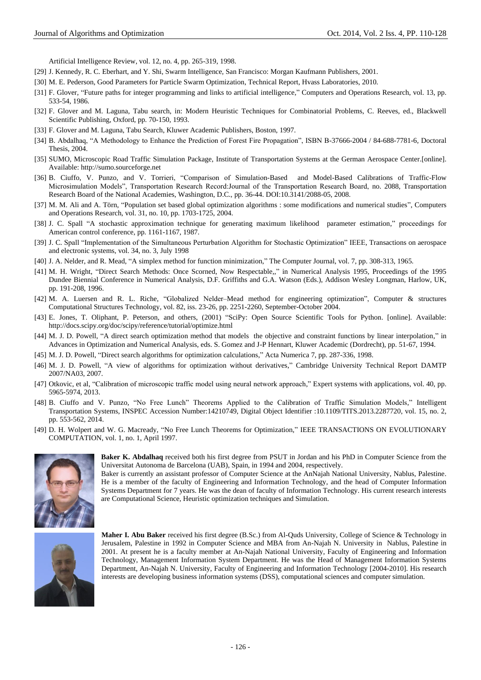Artificial Intelligence Review, vol. 12, no. 4, pp. 265-319, 1998.

- [29] J. Kennedy, R. C. Eberhart, and Y. Shi, Swarm Intelligence, San Francisco: Morgan Kaufmann Publishers, 2001.
- [30] M. E. Pederson, Good Parameters for Particle Swarm Optimization, Technical Report, Hvass Laboratories, 2010.
- [31] F. Glover, "Future paths for integer programming and links to artificial intelligence," Computers and Operations Research, vol. 13, pp. 533-54, 1986.
- [32] F. Glover and M. Laguna, Tabu search, in: Modern Heuristic Techniques for Combinatorial Problems, C. Reeves, ed., Blackwell Scientific Publishing, Oxford, pp. 70-150, 1993.
- [33] F. Glover and M. Laguna, Tabu Search, Kluwer Academic Publishers, Boston, 1997.
- [34] B. Abdalhaq, "A Methodology to Enhance the Prediction of Forest Fire Propagation", ISBN B-37666-2004 / 84-688-7781-6, Doctoral Thesis, 2004.
- [35] SUMO, Microscopic Road Traffic Simulation Package, [Institute of Transportation Systems at the German Aerospace Center.](http://www.dlr.de/fs/en/desktopdefault.aspx)[online]. Available: [http://sumo.sourceforge.net](http://sumo.sourceforge.net/)
- [36] B. Ciuffo, V. Punzo, and V. Torrieri, "Comparison of Simulation-Based and Model-Based Calibrations of Traffic-Flow Microsimulation Models", Transportation Research Record:Journal of the Transportation Research Board, no. 2088, Transportation Research Board of the National Academies, Washington, D.C., pp. 36-44. DOI:10.3141/2088-05, 2008.
- [37] M. M. Ali and A. Törn, "Population set based global optimization algorithms : some modifications and numerical studies", Computers and Operations Research, vol. 31, no. 10, pp. 1703-1725, 2004.
- [38] J. C. Spall "A stochastic approximation technique for generating maximum likelihood parameter estimation," proceedings for American control conference, pp. 1161-1167, 1987.
- [39] J. C. Spall "Implementation of the Simultaneous Perturbation Algorithm for Stochastic Optimization" IEEE, Transactions on aerospace and electronic systems, vol. 34, no. 3, July 1998
- [40] J. A. Nelder, and R. Mead, "A simplex method for function minimization," The Computer Journal, vol. 7, pp. 308-313, 1965.
- [41] M. H. Wright, "Direct Search Methods: Once Scorned, Now Respectable,," in Numerical Analysis 1995, Proceedings of the 1995 Dundee Biennial Conference in Numerical Analysis, D.F. Griffiths and G.A. Watson (Eds.), Addison Wesley Longman, Harlow, UK, pp. 191-208, 1996.
- [42] M. A. Luersen and R. L. Riche, "Globalized Nelder–Mead method for engineering optimization", Computer & structures Computational Structures Technology, vol. 82, iss. 23-26, pp. 2251-2260, September-October 2004.
- [43] E. Jones, T. Oliphant, P. Peterson, and others, (2001) "SciPy: Open Source Scientific Tools for Python. [online]. Available: <http://docs.scipy.org/doc/scipy/reference/tutorial/optimize.html>
- [44] M. J. D. Powell, "A direct search optimization method that models the objective and constraint functions by linear interpolation," in Advances in Optimization and Numerical Analysis, eds. S. Gomez and J-P Hennart, Kluwer Academic (Dordrecht), pp. 51-67, 1994.
- [45] M. J. D. Powell, "Direct search algorithms for optimization calculations," Acta Numerica 7, pp. 287-336, 1998.
- [46] M. J. D. Powell, "A view of algorithms for optimization without derivatives," Cambridge University Technical Report DAMTP 2007/NA03, 2007.
- [47] Otkovic, et al, "Calibration of microscopic traffic model using neural network approach," Expert systems with applications, vol. 40, pp. 5965-5974, 2013.
- [48] B. [Ciuffo](http://ieeexplore.ieee.org/search/searchresult.jsp?searchWithin=p_Authors:.QT.Ciuffo,%20B..QT.&newsearch=true) and V. [Punzo, "](http://ieeexplore.ieee.org/search/searchresult.jsp?searchWithin=p_Authors:.QT.Punzo,%20V..QT.&newsearch=true)No Free Lunch" Theorems Applied to the Calibration of Traffic Simulation Models," [Intelligent](http://ieeexplore.ieee.org/xpl/RecentIssue.jsp?punumber=6979)  [Transportation Systems, I](http://ieeexplore.ieee.org/xpl/RecentIssue.jsp?punumber=6979)NSPEC Accession Number:14210749, Digital Object Identifier [:10.1109/TITS.2013.2287720,](http://dx.doi.org/10.1109/TITS.2013.2287720) vol. 15, no. 2, pp. 553-562, 2014.
- [49] D. H. Wolpert and W. G. Macready, "No Free Lunch Theorems for Optimization," IEEE TRANSACTIONS ON EVOLUTIONARY COMPUTATION, vol. 1, no. 1, April 1997.



**Baker K. Abdalhaq** received both his first degree from PSUT in Jordan and his PhD in Computer Science from the Universitat Autonoma de Barcelona (UAB), Spain, in 1994 and 2004, respectively.

Baker is currently an assistant professor of Computer Science at the AnNajah National University, Nablus, Palestine. He is a member of the faculty of Engineering and Information Technology, and the head of Computer Information Systems Department for 7 years. He was the dean of faculty of Information Technology. His current research interests are Computational Science, Heuristic optimization techniques and Simulation.



**Maher I. Abu Baker** received his first degree (B.Sc.) from Al-Quds University, College of Science & Technology in Jerusalem, Palestine in 1992 in Computer Science and MBA from An-Najah N. University in Nablus, Palestine in 2001. At present he is a faculty member at An-Najah National University, Faculty of Engineering and Information Technology, Management Information System Department. He was the Head of Management Information Systems Department, An-Najah N. University, Faculty of Engineering and Information Technology [2004-2010]. His research interests are developing business information systems (DSS), computational sciences and computer simulation.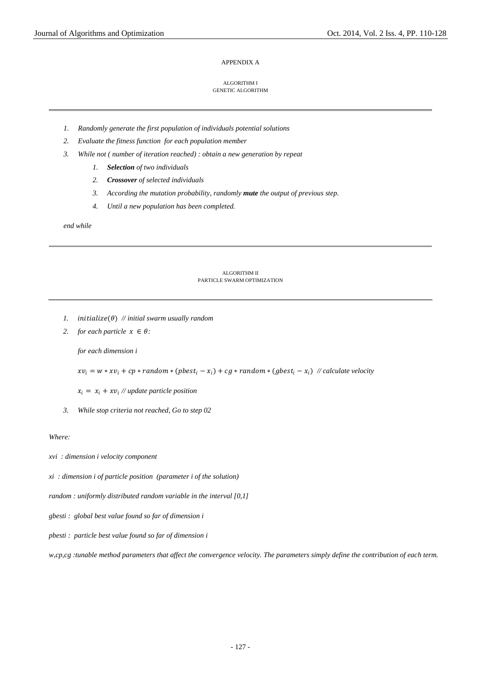#### APPENDIX A

#### ALGORITHM I GENETIC ALGORITHM

- *1. Randomly generate the first population of individuals potential solutions*
- *2. Evaluate the fitness function for each population member*
- *3. While not ( number of iteration reached) : obtain a new generation by repeat*
	- *1. Selection of two individuals*
	- *2. Crossover of selected individuals*
	- *3. According the mutation probability, randomly mute the output of previous step.*
	- *4. Until a new population has been completed.*

*end while*

#### ALGORITHM II PARTICLE SWARM OPTIMIZATION

- *1.* initialize( $\theta$ ) // initial swarm usually random
- *2. for each particle*  $x \in \theta$ *:*

*for each dimension i* 

 $x v_i = w * x v_i + c p * random * (pbest_i - x_i) + c g * random * (gbest_i - x_i)$  // calculate velocity

 $x_i = x_i + xv_i$  // update particle position

*3. While stop criteria not reached, Go to step 02* 

## *Where:*

*xvi : dimension i velocity component*

*xi : dimension i of particle position (parameter i of the solution)*

*random : uniformly distributed random variable in the interval [0,1]*

- *gbesti : global best value found so far of dimension i*
- *pbesti : particle best value found so far of dimension i*

*w,cp,cg :tunable method parameters that affect the convergence velocity. The parameters simply define the contribution of each term.*